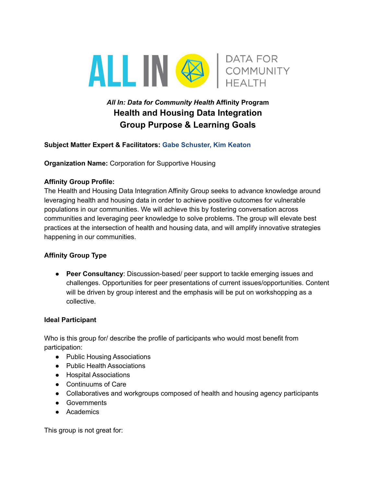

# *All In: Data for Community Health* **Affinity Program Health and Housing Data Integration Group Purpose & Learning Goals**

## **Subject Matter Expert & Facilitators: Gabe Schuster, Kim Keaton**

**Organization Name:** Corporation for Supportive Housing

## **Affinity Group Profile:**

The Health and Housing Data Integration Affinity Group seeks to advance knowledge around leveraging health and housing data in order to achieve positive outcomes for vulnerable populations in our communities. We will achieve this by fostering conversation across communities and leveraging peer knowledge to solve problems. The group will elevate best practices at the intersection of health and housing data, and will amplify innovative strategies happening in our communities.

# **Affinity Group Type**

● **Peer Consultancy**: Discussion-based/ peer support to tackle emerging issues and challenges. Opportunities for peer presentations of current issues/opportunities. Content will be driven by group interest and the emphasis will be put on workshopping as a collective.

#### **Ideal Participant**

Who is this group for/ describe the profile of participants who would most benefit from participation:

- Public Housing Associations
- Public Health Associations
- Hospital Associations
- Continuums of Care
- Collaboratives and workgroups composed of health and housing agency participants
- Governments
- Academics

This group is not great for: